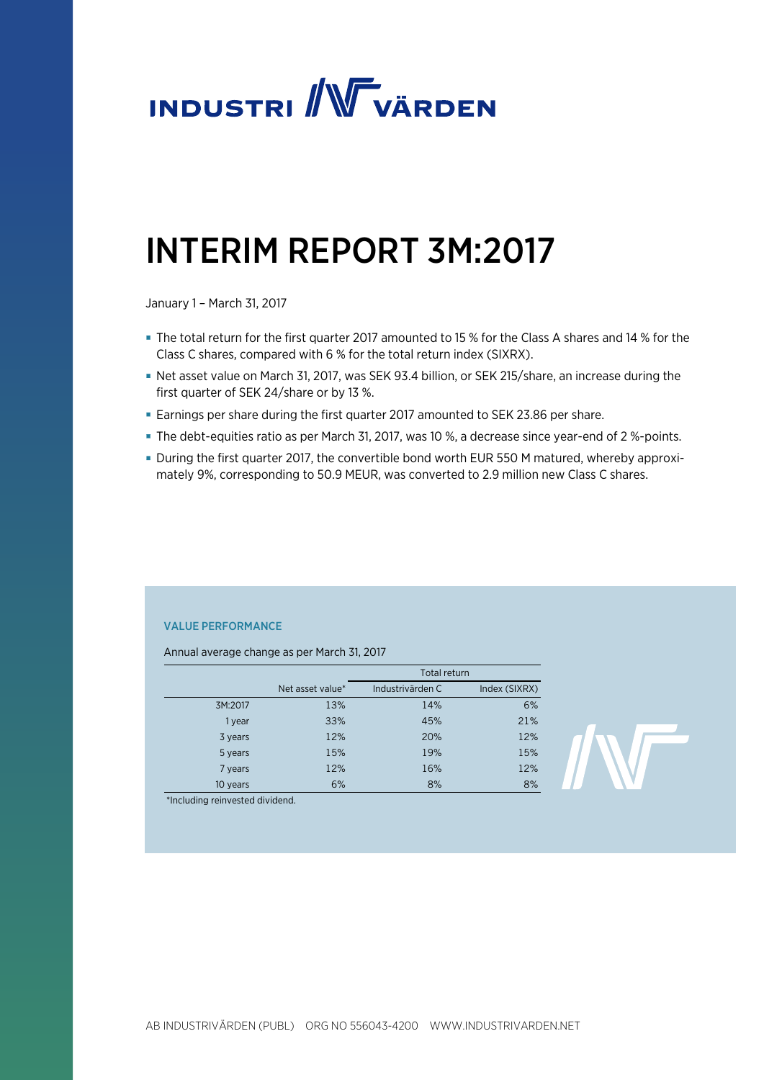

# INTERIM REPORT 3M:2017

January 1 – March 31, 2017

- The total return for the first quarter 2017 amounted to 15 % for the Class A shares and 14 % for the Class C shares, compared with 6 % for the total return index (SIXRX).
- Net asset value on March 31, 2017, was SEK 93.4 billion, or SEK 215/share, an increase during the first quarter of SEK 24/share or by 13 %.
- Earnings per share during the first quarter 2017 amounted to SEK 23.86 per share.
- The debt-equities ratio as per March 31, 2017, was 10 %, a decrease since year-end of 2 %-points.
- During the first quarter 2017, the convertible bond worth EUR 550 M matured, whereby approximately 9%, corresponding to 50.9 MEUR, was converted to 2.9 million new Class C shares.

### VALUE PERFORMANCE

Annual average change as per March 31, 2017

|          |                  | Total return     |               |
|----------|------------------|------------------|---------------|
|          | Net asset value* | Industrivärden C | Index (SIXRX) |
| 3M:2017  | 13%              | 14%              | 6%            |
| 1 year   | 33%              | 45%              | 21%           |
| 3 years  | 12%              | 20%              | 12%           |
| 5 years  | 15%              | 19%              | 15%           |
| 7 years  | 12%              | 16%              | 12%           |
| 10 years | 6%               | 8%               | 8%            |

\*Including reinvested dividend.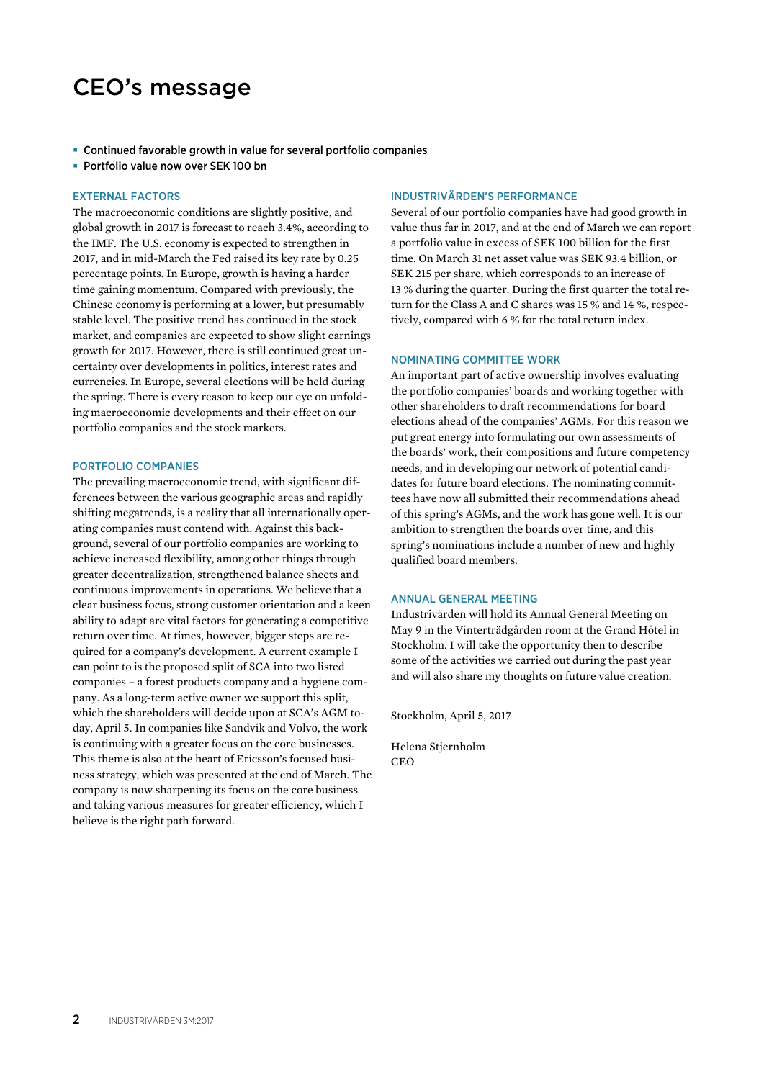# CEO's message

- Continued favorable growth in value for several portfolio companies
- Portfolio value now over SEK 100 bn

#### EXTERNAL FACTORS

The macroeconomic conditions are slightly positive, and global growth in 2017 is forecast to reach 3.4%, according to the IMF. The U.S. economy is expected to strengthen in 2017, and in mid-March the Fed raised its key rate by 0.25 percentage points. In Europe, growth is having a harder time gaining momentum. Compared with previously, the Chinese economy is performing at a lower, but presumably stable level. The positive trend has continued in the stock market, and companies are expected to show slight earnings growth for 2017. However, there is still continued great uncertainty over developments in politics, interest rates and currencies. In Europe, several elections will be held during the spring. There is every reason to keep our eye on unfolding macroeconomic developments and their effect on our portfolio companies and the stock markets.

#### PORTFOLIO COMPANIES

The prevailing macroeconomic trend, with significant differences between the various geographic areas and rapidly shifting megatrends, is a reality that all internationally operating companies must contend with. Against this background, several of our portfolio companies are working to achieve increased flexibility, among other things through greater decentralization, strengthened balance sheets and continuous improvements in operations. We believe that a clear business focus, strong customer orientation and a keen ability to adapt are vital factors for generating a competitive return over time. At times, however, bigger steps are required for a company's development. A current example I can point to is the proposed split of SCA into two listed companies – a forest products company and a hygiene company. As a long-term active owner we support this split, which the shareholders will decide upon at SCA's AGM today, April 5. In companies like Sandvik and Volvo, the work is continuing with a greater focus on the core businesses. This theme is also at the heart of Ericsson's focused business strategy, which was presented at the end of March. The company is now sharpening its focus on the core business and taking various measures for greater efficiency, which I believe is the right path forward.

#### INDUSTRIVÄRDEN'S PERFORMANCE

Several of our portfolio companies have had good growth in value thus far in 2017, and at the end of March we can report a portfolio value in excess of SEK 100 billion for the first time. On March 31 net asset value was SEK 93.4 billion, or SEK 215 per share, which corresponds to an increase of 13 % during the quarter. During the first quarter the total return for the Class A and C shares was 15 % and 14 %, respectively, compared with 6 % for the total return index.

#### NOMINATING COMMITTEE WORK

An important part of active ownership involves evaluating the portfolio companies' boards and working together with other shareholders to draft recommendations for board elections ahead of the companies' AGMs. For this reason we put great energy into formulating our own assessments of the boards' work, their compositions and future competency needs, and in developing our network of potential candidates for future board elections. The nominating committees have now all submitted their recommendations ahead of this spring's AGMs, and the work has gone well. It is our ambition to strengthen the boards over time, and this spring's nominations include a number of new and highly qualified board members.

#### ANNUAL GENERAL MEETING

Industrivärden will hold its Annual General Meeting on May 9 in the Vinterträdgården room at the Grand Hôtel in Stockholm. I will take the opportunity then to describe some of the activities we carried out during the past year and will also share my thoughts on future value creation.

Stockholm, April 5, 2017

Helena Stjernholm CEO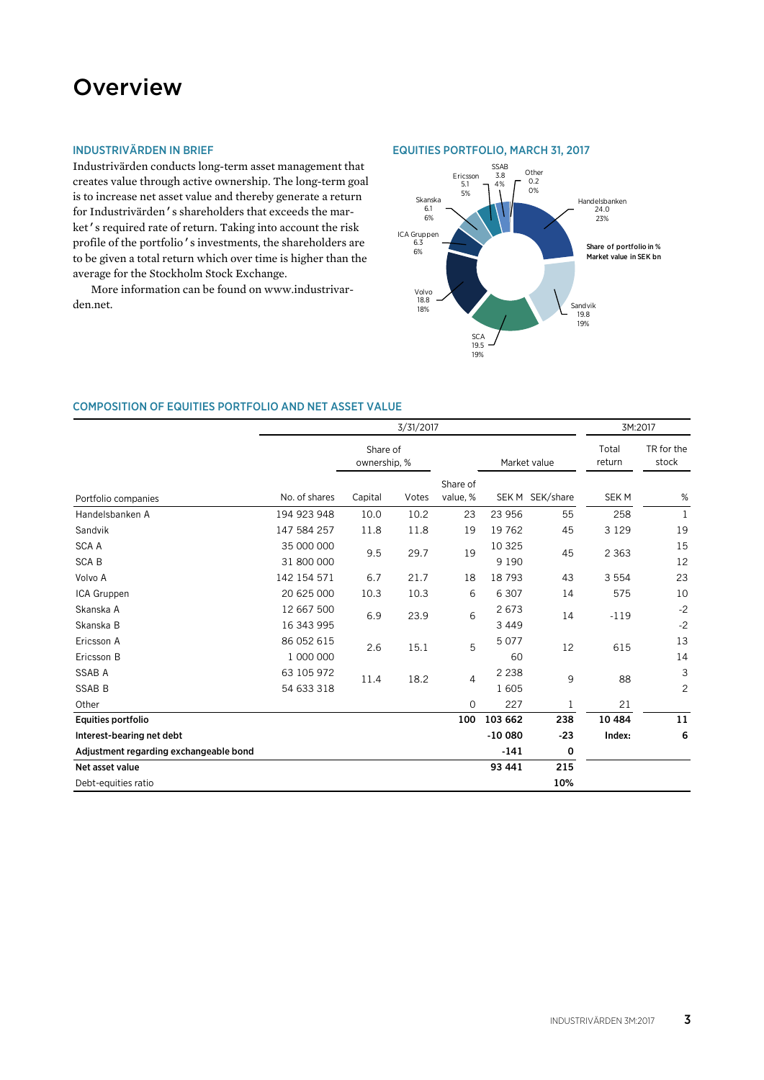# **Overview**

### INDUSTRIVÄRDEN IN BRIEF

Industrivärden conducts long-term asset management that creates value through active ownership. The long-term goal is to increase net asset value and thereby generate a return for Industrivärden's shareholders that exceeds the market's required rate of return. Taking into account the risk profile of the portfolio's investments, the shareholders are to be given a total return which over time is higher than the average for the Stockholm Stock Exchange.

More information can be found on www.industrivarden.net.

### EQUITIES PORTFOLIO, MARCH 31, 2017



#### COMPOSITION OF EQUITIES PORTFOLIO AND NET ASSET VALUE

|                                        | 3/31/2017                |                                |         |                      |          | 3M:2017         |                     |                |
|----------------------------------------|--------------------------|--------------------------------|---------|----------------------|----------|-----------------|---------------------|----------------|
|                                        | Share of<br>ownership, % |                                |         | Market value         |          | Total<br>return | TR for the<br>stock |                |
| Portfolio companies                    | No. of shares            | Capital                        | Votes   | Share of<br>value, % |          | SEK M SEK/share | <b>SEKM</b>         | $\%$           |
| Handelsbanken A                        | 194 923 948              | 10.0                           | 10.2    | 23                   | 23 956   | 55              | 258                 | 1              |
| Sandvik                                | 147 584 257              | 11.8                           | 11.8    | 19                   | 19762    | 45              | 3 1 2 9             | 19             |
| <b>SCAA</b>                            | 35 000 000               | 9.5                            | 29.7    | 19                   | 10 3 25  | 45              | 2 3 6 3             | 15             |
| <b>SCAB</b>                            | 31 800 000               |                                |         |                      | 9 1 9 0  |                 |                     | 12             |
| Volvo A                                | 142 154 571              | 6.7                            | 21.7    | 18                   | 18793    | 43              | 3 5 5 4             | 23             |
| ICA Gruppen                            | 20 625 000               | 10.3                           | 10.3    | 6                    | 6 3 0 7  | 14              | 575                 | 10             |
| Skanska A                              | 12 667 500               | 6.9                            | 23.9    | 6                    | 2673     | 14              | $-119$              | $-2$           |
| Skanska B                              | 16 343 995               |                                |         |                      | 3 4 4 9  |                 |                     | $-2$           |
| Ericsson A                             | 86 052 615               | 2.6                            |         | 5<br>15.1            | 5077     | 12              | 615                 | 13             |
| Ericsson B                             | 1 000 000                |                                |         |                      | 60       |                 |                     | 14             |
| <b>SSAB A</b>                          | 63 105 972               | 18.2<br>$\overline{4}$<br>11.4 | 2 2 3 8 | 9                    | 88       | 3               |                     |                |
| <b>SSAB B</b>                          | 54 633 318               |                                |         |                      | 1605     |                 |                     | $\overline{c}$ |
| Other                                  |                          |                                |         | $\mathbf 0$          | 227      | $\mathbf 1$     | 21                  |                |
| <b>Equities portfolio</b>              |                          |                                |         | 100                  | 103 662  | 238             | 10 4 84             | 11             |
| Interest-bearing net debt              |                          |                                |         |                      | $-10000$ | $-23$           | Index:              | 6              |
| Adjustment regarding exchangeable bond |                          |                                |         |                      | $-141$   | 0               |                     |                |
| Net asset value                        |                          |                                |         |                      | 93 441   | 215             |                     |                |
| Debt-equities ratio                    |                          |                                |         |                      |          | 10%             |                     |                |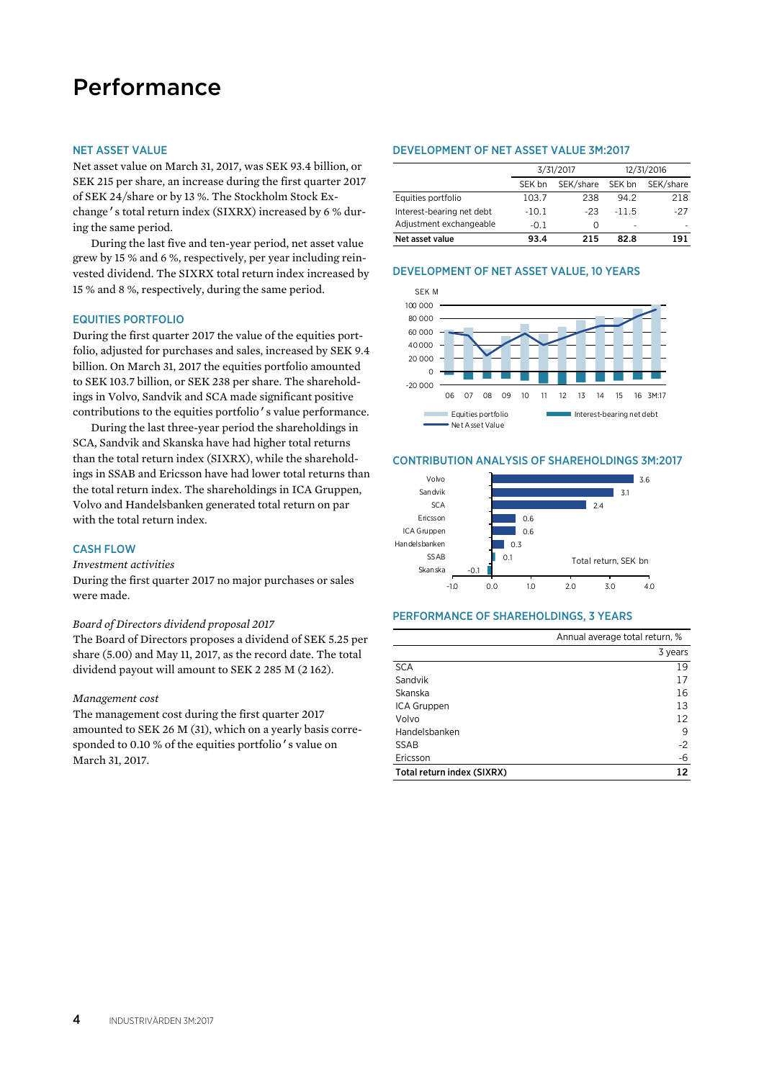# Performance

#### NET ASSET VALUE

Net asset value on March 31, 2017, was SEK 93.4 billion, or SEK 215 per share, an increase during the first quarter 2017 of SEK 24/share or by 13 %. The Stockholm Stock Exchange's total return index (SIXRX) increased by 6 % during the same period.

During the last five and ten-year period, net asset value grew by 15 % and 6 %, respectively, per year including reinvested dividend. The SIXRX total return index increased by 15 % and 8 %, respectively, during the same period.

#### EQUITIES PORTFOLIO

During the first quarter 2017 the value of the equities portfolio, adjusted for purchases and sales, increased by SEK 9.4 billion. On March 31, 2017 the equities portfolio amounted to SEK 103.7 billion, or SEK 238 per share. The shareholdings in Volvo, Sandvik and SCA made significant positive contributions to the equities portfolio's value performance.

During the last three-year period the shareholdings in SCA, Sandvik and Skanska have had higher total returns than the total return index (SIXRX), while the shareholdings in SSAB and Ericsson have had lower total returns than the total return index. The shareholdings in ICA Gruppen, Volvo and Handelsbanken generated total return on par with the total return index.

#### **CASH FLOW**

#### *Investment activities*

During the first quarter 2017 no major purchases or sales were made.

#### *Board of Directors dividend proposal 2017*

The Board of Directors proposes a dividend of SEK 5.25 per share (5.00) and May 11, 2017, as the record date. The total dividend payout will amount to SEK 2 285 M (2 162).

#### *Management cost*

The management cost during the first quarter 2017 amounted to SEK 26 M (31), which on a yearly basis corresponded to 0.10 % of the equities portfolio's value on March 31, 2017.

#### DEVELOPMENT OF NET ASSET VALUE 3M:2017

|                           |         | 3/31/2017 | 12/31/2016 |           |  |
|---------------------------|---------|-----------|------------|-----------|--|
|                           | SEK bn  | SEK/share | SEK bn     | SEK/share |  |
| Equities portfolio        | 103.7   | 238       | 94.2       | 218       |  |
| Interest-bearing net debt | $-10.1$ | $-23$     | $-11.5$    | $-27$     |  |
| Adjustment exchangeable   | $-0.1$  | Ω         | -          |           |  |
| Net asset value           | 93.4    | 215       | 82.8       | 191       |  |

# DEVELOPMENT OF NET ASSET VALUE, 10 YEARS



#### CONTRIBUTION ANALYSIS OF SHAREHOLDINGS 3M:2017



#### PERFORMANCE OF SHAREHOLDINGS, 3 YEARS

|                            | Annual average total return, % |
|----------------------------|--------------------------------|
|                            | 3 years                        |
| <b>SCA</b>                 | 19                             |
| Sandvik                    | 17                             |
| Skanska                    | 16                             |
| ICA Gruppen                | 13                             |
| Volvo                      | 12                             |
| Handelsbanken              | 9                              |
| <b>SSAB</b>                | $-2$                           |
| Ericsson                   | -6                             |
| Total return index (SIXRX) | 12                             |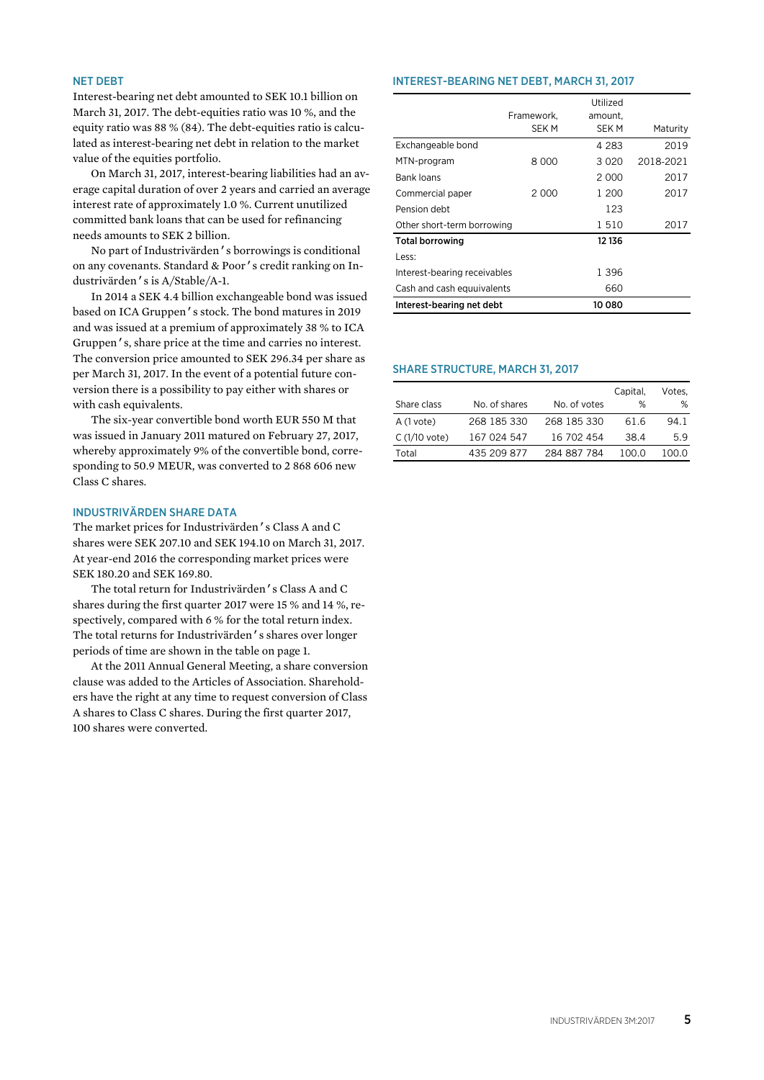#### NET DEBT

Interest-bearing net debt amounted to SEK 10.1 billion on March 31, 2017. The debt-equities ratio was 10 %, and the equity ratio was 88 % (84). The debt-equities ratio is calculated as interest-bearing net debt in relation to the market value of the equities portfolio.

On March 31, 2017, interest-bearing liabilities had an average capital duration of over 2 years and carried an average interest rate of approximately 1.0 %. Current unutilized committed bank loans that can be used for refinancing needs amounts to SEK 2 billion.

No part of Industrivärden's borrowings is conditional on any covenants. Standard & Poor's credit ranking on Industrivärden's is A/Stable/A-1.

In 2014 a SEK 4.4 billion exchangeable bond was issued based on ICA Gruppen's stock. The bond matures in 2019 and was issued at a premium of approximately 38 % to ICA Gruppen's, share price at the time and carries no interest. The conversion price amounted to SEK 296.34 per share as per March 31, 2017. In the event of a potential future conversion there is a possibility to pay either with shares or with cash equivalents.

The six-year convertible bond worth EUR 550 M that was issued in January 2011 matured on February 27, 2017, whereby approximately 9% of the convertible bond, corresponding to 50.9 MEUR, was converted to 2 868 606 new Class C shares.

### INDUSTRIVÄRDEN SHARE DATA

The market prices for Industrivärden's Class A and C shares were SEK 207.10 and SEK 194.10 on March 31, 2017. At year-end 2016 the corresponding market prices were SEK 180.20 and SEK 169.80.

The total return for Industrivärden's Class A and C shares during the first quarter 2017 were 15 % and 14 %, respectively, compared with 6 % for the total return index. The total returns for Industrivärden's shares over longer periods of time are shown in the table on page 1.

At the 2011 Annual General Meeting, a share conversion clause was added to the Articles of Association. Shareholders have the right at any time to request conversion of Class A shares to Class C shares. During the first quarter 2017, 100 shares were converted.

#### INTEREST-BEARING NET DEBT, MARCH 31, 2017

|                              |            | Utilized |           |
|------------------------------|------------|----------|-----------|
|                              | Framework. | amount,  |           |
|                              | SEK M      | SEK M    | Maturity  |
| Exchangeable bond            |            | 4 2 8 3  | 2019      |
| MTN-program                  | 8 000      | 3020     | 2018-2021 |
| <b>Bank loans</b>            |            | 2000     | 2017      |
| Commercial paper             | 2.000      | 1 200    | 2017      |
| Pension debt                 |            | 123      |           |
| Other short-term borrowing   |            | 1510     | 2017      |
| <b>Total borrowing</b>       |            | 12 13 6  |           |
| Less:                        |            |          |           |
| Interest-bearing receivables |            | 1 396    |           |
| Cash and cash equuivalents   |            | 660      |           |
| Interest-bearing net debt    |            | 10 080   |           |

#### SHARE STRUCTURE, MARCH 31, 2017

|                |               |              | Capital. | Votes. |
|----------------|---------------|--------------|----------|--------|
| Share class    | No. of shares | No. of votes | %        | %      |
| A (1 vote)     | 268 185 330   | 268 185 330  | 61.6     | 94.1   |
| $C(1/10$ vote) | 167 024 547   | 16 702 454   | 38.4     | 5.9    |
| Total          | 435 209 877   | 284 887 784  | 100 O    | 100.0  |
|                |               |              |          |        |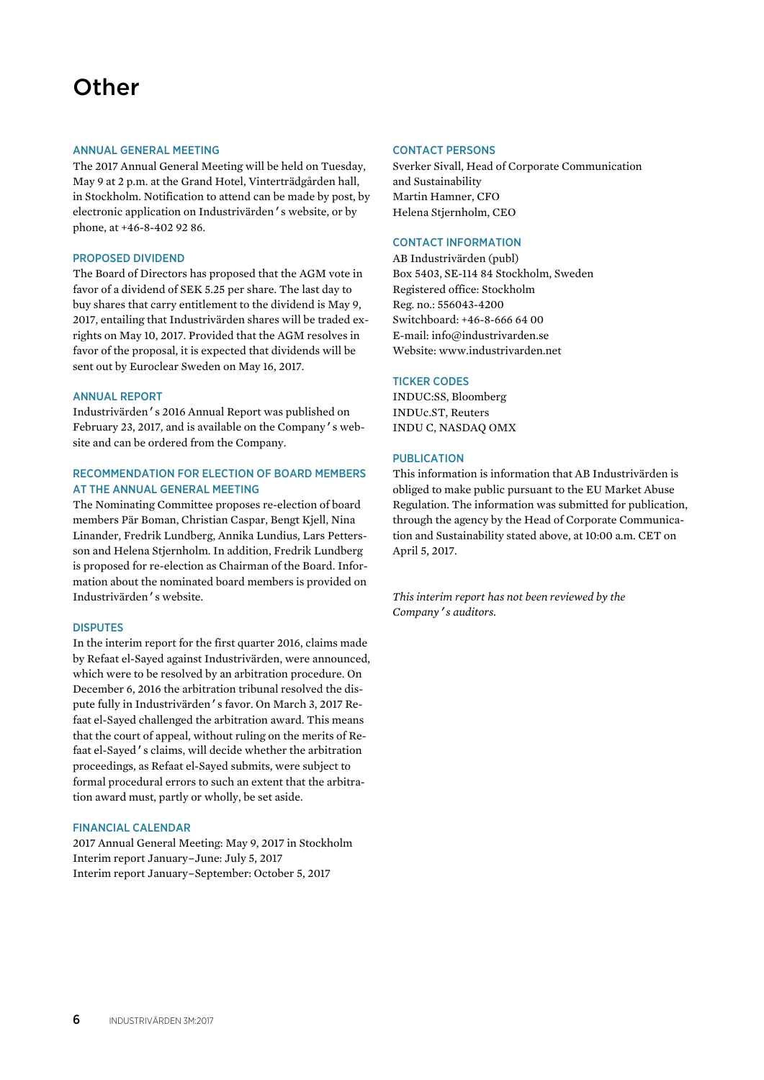# **Other**

#### ANNUAL GENERAL MEETING

The 2017 Annual General Meeting will be held on Tuesday, May 9 at 2 p.m. at the Grand Hotel, Vinterträdgården hall, in Stockholm. Notification to attend can be made by post, by electronic application on Industrivärden's website, or by phone, at +46-8-402 92 86.

#### PROPOSED DIVIDEND

The Board of Directors has proposed that the AGM vote in favor of a dividend of SEK 5.25 per share. The last day to buy shares that carry entitlement to the dividend is May 9, 2017, entailing that Industrivärden shares will be traded exrights on May 10, 2017. Provided that the AGM resolves in favor of the proposal, it is expected that dividends will be sent out by Euroclear Sweden on May 16, 2017.

#### ANNUAL REPORT

Industrivärden's 2016 Annual Report was published on February 23, 2017, and is available on the Company's website and can be ordered from the Company.

### RECOMMENDATION FOR ELECTION OF BOARD MEMBERS AT THE ANNUAL GENERAL MEETING

The Nominating Committee proposes re-election of board members Pär Boman, Christian Caspar, Bengt Kjell, Nina Linander, Fredrik Lundberg, Annika Lundius, Lars Pettersson and Helena Stjernholm. In addition, Fredrik Lundberg is proposed for re-election as Chairman of the Board. Information about the nominated board members is provided on Industrivärden's website.

#### DISPUTES

In the interim report for the first quarter 2016, claims made by Refaat el-Sayed against Industrivärden, were announced, which were to be resolved by an arbitration procedure. On December 6, 2016 the arbitration tribunal resolved the dispute fully in Industrivärden's favor. On March 3, 2017 Refaat el-Sayed challenged the arbitration award. This means that the court of appeal, without ruling on the merits of Refaat el-Sayed's claims, will decide whether the arbitration proceedings, as Refaat el-Sayed submits, were subject to formal procedural errors to such an extent that the arbitration award must, partly or wholly, be set aside.

#### FINANCIAL CALENDAR

2017 Annual General Meeting: May 9, 2017 in Stockholm Interim report January–June: July 5, 2017 Interim report January–September: October 5, 2017

#### CONTACT PERSONS

Sverker Sivall, Head of Corporate Communication and Sustainability Martin Hamner, CFO Helena Stjernholm, CEO

#### CONTACT INFORMATION

AB Industrivärden (publ) Box 5403, SE-114 84 Stockholm, Sweden Registered office: Stockholm Reg. no.: 556043-4200 Switchboard: +46-8-666 64 00 E-mail: info@industrivarden.se Website: www.industrivarden.net

#### TICKER CODES

INDUC:SS, Bloomberg INDUc.ST, Reuters INDU C, NASDAQ OMX

#### PUBLICATION

This information is information that AB Industrivärden is obliged to make public pursuant to the EU Market Abuse Regulation. The information was submitted for publication, through the agency by the Head of Corporate Communication and Sustainability stated above, at 10:00 a.m. CET on April 5, 2017.

*This interim report has not been reviewed by the Company's auditors.*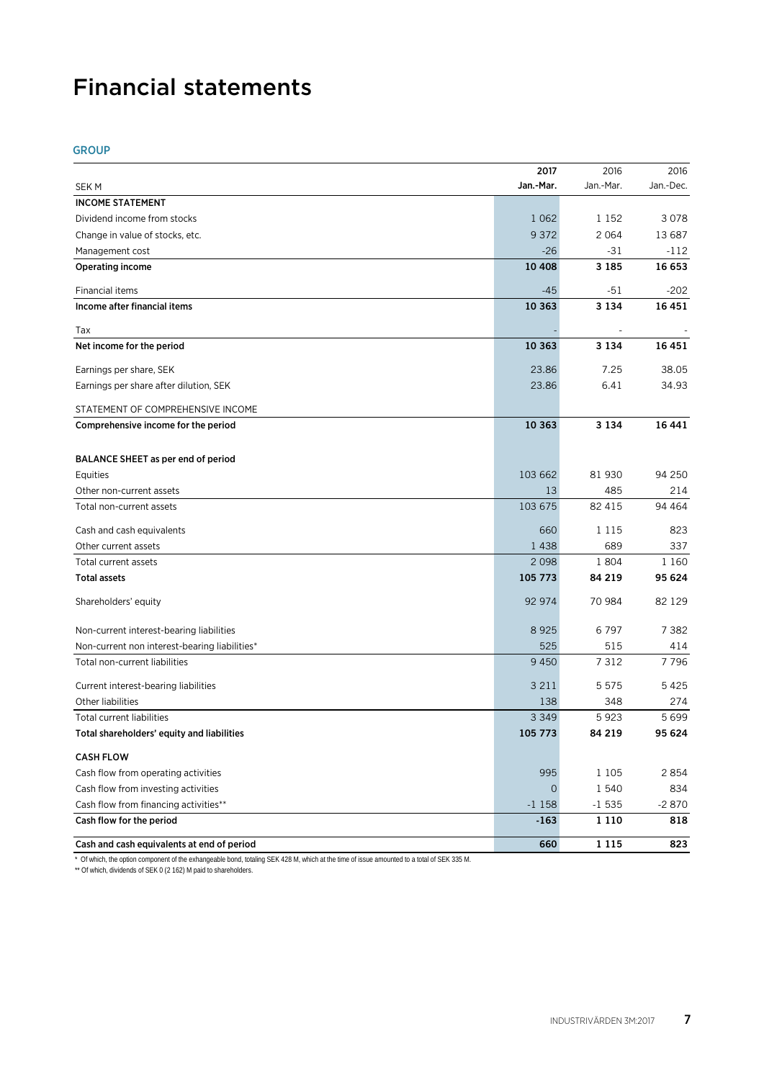# Financial statements

### GROUP

|                                               | 2017         | 2016      | 2016      |
|-----------------------------------------------|--------------|-----------|-----------|
| <b>SEKM</b>                                   | Jan.-Mar.    | Jan.-Mar. | Jan.-Dec. |
| <b>INCOME STATEMENT</b>                       |              |           |           |
| Dividend income from stocks                   | 1 0 6 2      | 1 1 5 2   | 3078      |
| Change in value of stocks, etc.               | 9 3 7 2      | 2 0 6 4   | 13 687    |
| Management cost                               | $-26$        | -31       | $-112$    |
| <b>Operating income</b>                       | 10 408       | 3 1 8 5   | 16 653    |
| Financial items                               | $-45$        | -51       | -202      |
| Income after financial items                  | 10 363       | 3 1 3 4   | 16 451    |
| Tax                                           |              |           |           |
| Net income for the period                     | 10 363       | 3 1 3 4   | 16 451    |
| Earnings per share, SEK                       | 23.86        | 7.25      | 38.05     |
| Earnings per share after dilution, SEK        | 23.86        | 6.41      | 34.93     |
| STATEMENT OF COMPREHENSIVE INCOME             |              |           |           |
| Comprehensive income for the period           | 10 363       | 3 1 3 4   | 16 441    |
| BALANCE SHEET as per end of period            |              |           |           |
| Equities                                      | 103 662      | 81 930    | 94 250    |
| Other non-current assets                      | 13           | 485       | 214       |
| Total non-current assets                      | 103 675      | 82 415    | 94 464    |
| Cash and cash equivalents                     | 660          | 1 1 1 5   | 823       |
| Other current assets                          | 1438         | 689       | 337       |
| Total current assets                          | 2 0 9 8      | 1804      | 1 1 6 0   |
| <b>Total assets</b>                           | 105 773      | 84 219    | 95 624    |
| Shareholders' equity                          | 92 974       | 70 984    | 82 129    |
| Non-current interest-bearing liabilities      | 8925         | 6797      | 7 382     |
| Non-current non interest-bearing liabilities* | 525          | 515       | 414       |
| Total non-current liabilities                 | 9450         | 7 3 1 2   | 7796      |
| Current interest-bearing liabilities          | 3 2 1 1      | 5 5 7 5   | 5425      |
| Other liabilities                             | 138          | 348       | 274       |
| <b>Total current liabilities</b>              | 3 3 4 9      | 5923      | 5699      |
| Total shareholders' equity and liabilities    | 105 773      | 84 219    | 95 624    |
| <b>CASH FLOW</b>                              |              |           |           |
| Cash flow from operating activities           | 995          | 1 1 0 5   | 2854      |
| Cash flow from investing activities           | $\mathbf{0}$ | 1 540     | 834       |
| Cash flow from financing activities**         | $-1158$      | $-1535$   | $-2870$   |
| Cash flow for the period                      | $-163$       | 1 1 1 0   | 818       |
| Cash and cash equivalents at end of period    | 660          | 1 1 1 5   | 823       |

\* Of which, the option component of the exhangeable bond, totaling SEK 428 M, which at the time of issue amounted to a total of SEK 335 M.

\*\* Of which, dividends of SEK 0 (2 162) M paid to shareholders.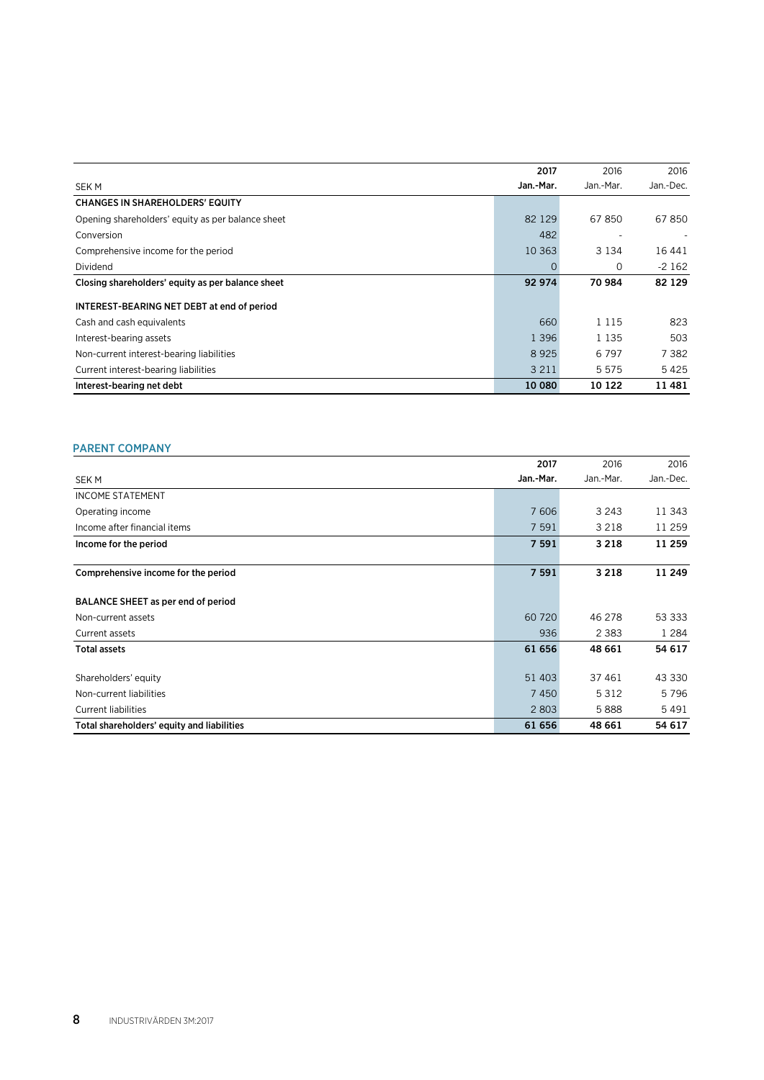|                                                   | 2017      | 2016      | 2016      |
|---------------------------------------------------|-----------|-----------|-----------|
| <b>SEKM</b>                                       | Jan.-Mar. | Jan.-Mar. | Jan.-Dec. |
| <b>CHANGES IN SHAREHOLDERS' EQUITY</b>            |           |           |           |
| Opening shareholders' equity as per balance sheet | 82 1 29   | 67850     | 67850     |
| Conversion                                        | 482       |           |           |
| Comprehensive income for the period               | 10 3 6 3  | 3 1 3 4   | 16 44 1   |
| Dividend                                          | 0         | 0         | $-2162$   |
| Closing shareholders' equity as per balance sheet | 92 974    | 70 984    | 82 129    |
| INTEREST-BEARING NET DEBT at end of period        |           |           |           |
| Cash and cash equivalents                         | 660       | 1 1 1 5   | 823       |
| Interest-bearing assets                           | 1 3 9 6   | 1 1 3 5   | 503       |
| Non-current interest-bearing liabilities          | 8925      | 6797      | 7 3 8 2   |
| Current interest-bearing liabilities              | 3 2 1 1   | 5 5 7 5   | 5425      |
| Interest-bearing net debt                         | 10 080    | 10 122    | 11 481    |

# PARENT COMPANY

|                                            | 2017      | 2016      | 2016      |
|--------------------------------------------|-----------|-----------|-----------|
| <b>SEKM</b>                                | Jan.-Mar. | Jan.-Mar. | Jan.-Dec. |
| <b>INCOME STATEMENT</b>                    |           |           |           |
| Operating income                           | 7 606     | 3 2 4 3   | 11 343    |
| Income after financial items               | 7 5 9 1   | 3 2 1 8   | 11 259    |
| Income for the period                      | 7 5 9 1   | 3 2 1 8   | 11 259    |
| Comprehensive income for the period        | 7 5 9 1   | 3 2 1 8   | 11 249    |
| BALANCE SHEET as per end of period         |           |           |           |
| Non-current assets                         | 60 720    | 46 278    | 53 333    |
| Current assets                             | 936       | 2 3 8 3   | 1 2 8 4   |
| <b>Total assets</b>                        | 61 656    | 48 661    | 54 617    |
| Shareholders' equity                       | 51 403    | 37 461    | 43 330    |
| Non-current liabilities                    | 7450      | 5 3 1 2   | 5796      |
| <b>Current liabilities</b>                 | 2 8 0 3   | 5888      | 5491      |
| Total shareholders' equity and liabilities | 61 656    | 48 661    | 54 617    |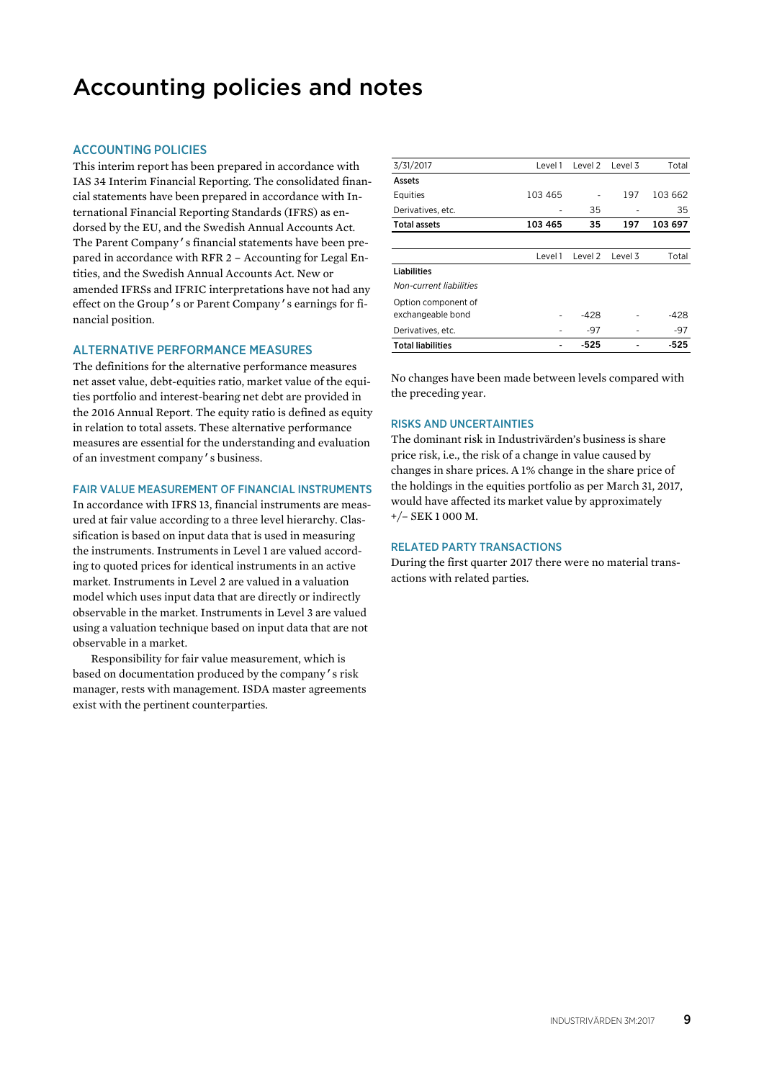# Accounting policies and notes

## ACCOUNTING POLICIES

This interim report has been prepared in accordance with IAS 34 Interim Financial Reporting. The consolidated financial statements have been prepared in accordance with International Financial Reporting Standards (IFRS) as endorsed by the EU, and the Swedish Annual Accounts Act. The Parent Company's financial statements have been prepared in accordance with RFR 2 – Accounting for Legal Entities, and the Swedish Annual Accounts Act. New or amended IFRSs and IFRIC interpretations have not had any effect on the Group's or Parent Company's earnings for financial position.

#### ALTERNATIVE PERFORMANCE MEASURES

The definitions for the alternative performance measures net asset value, debt-equities ratio, market value of the equities portfolio and interest-bearing net debt are provided in the 2016 Annual Report. The equity ratio is defined as equity in relation to total assets. These alternative performance measures are essential for the understanding and evaluation of an investment company's business.

#### FAIR VALUE MEASUREMENT OF FINANCIAL INSTRUMENTS

In accordance with IFRS 13, financial instruments are measured at fair value according to a three level hierarchy. Classification is based on input data that is used in measuring the instruments. Instruments in Level 1 are valued according to quoted prices for identical instruments in an active market. Instruments in Level 2 are valued in a valuation model which uses input data that are directly or indirectly observable in the market. Instruments in Level 3 are valued using a valuation technique based on input data that are not observable in a market.

Responsibility for fair value measurement, which is based on documentation produced by the company's risk manager, rests with management. ISDA master agreements exist with the pertinent counterparties.

| 3/31/2017                | Level 1 | Level 2 | Level 3 | Total   |
|--------------------------|---------|---------|---------|---------|
| Assets                   |         |         |         |         |
| Equities                 | 103 465 |         | 197     | 103 662 |
| Derivatives, etc.        |         | 35      |         | 35      |
| <b>Total assets</b>      | 103 465 | 35      | 197     | 103 697 |
|                          |         |         |         |         |
|                          | Level 1 | Level 2 | Level 3 | Total   |
| Liabilities              |         |         |         |         |
| Non-current liabilities  |         |         |         |         |
| Option component of      |         |         |         |         |
| exchangeable bond        |         | $-428$  |         | $-428$  |
| Derivatives, etc.        |         | -97     |         | $-97$   |
| <b>Total liabilities</b> |         | $-525$  |         | $-525$  |

No changes have been made between levels compared with the preceding year.

#### RISKS AND UNCERTAINTIES

The dominant risk in Industrivärden's business is share price risk, i.e., the risk of a change in value caused by changes in share prices. A 1% change in the share price of the holdings in the equities portfolio as per March 31, 2017, would have affected its market value by approximately +/– SEK 1 000 M.

#### RELATED PARTY TRANSACTIONS

During the first quarter 2017 there were no material transactions with related parties.